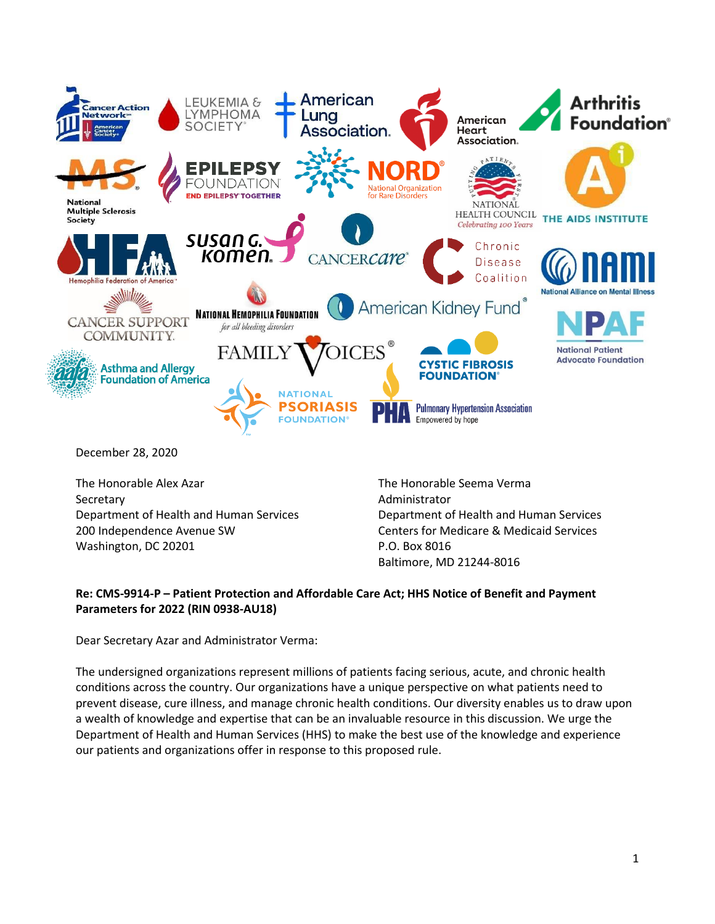

Secretary Department of Health and Human Services 200 Independence Avenue SW Washington, DC 20201

Administrator Department of Health and Human Services Centers for Medicare & Medicaid Services P.O. Box 8016 Baltimore, MD 21244-8016

# **Re: CMS-9914-P – Patient Protection and Affordable Care Act; HHS Notice of Benefit and Payment Parameters for 2022 (RIN 0938-AU18)**

Dear Secretary Azar and Administrator Verma:

The undersigned organizations represent millions of patients facing serious, acute, and chronic health conditions across the country. Our organizations have a unique perspective on what patients need to prevent disease, cure illness, and manage chronic health conditions. Our diversity enables us to draw upon a wealth of knowledge and expertise that can be an invaluable resource in this discussion. We urge the Department of Health and Human Services (HHS) to make the best use of the knowledge and experience our patients and organizations offer in response to this proposed rule.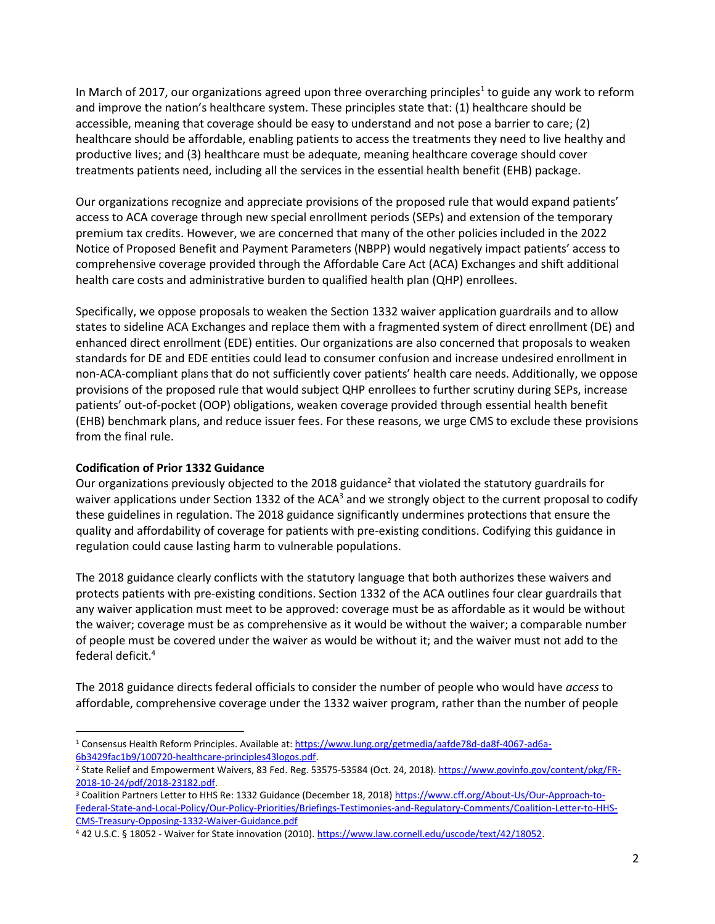In March of 2017, our organizations agreed upon three overarching principles<sup>1</sup> to guide any work to reform and improve the nation's healthcare system. These principles state that: (1) healthcare should be accessible, meaning that coverage should be easy to understand and not pose a barrier to care; (2) healthcare should be affordable, enabling patients to access the treatments they need to live healthy and productive lives; and (3) healthcare must be adequate, meaning healthcare coverage should cover treatments patients need, including all the services in the essential health benefit (EHB) package.

Our organizations recognize and appreciate provisions of the proposed rule that would expand patients' access to ACA coverage through new special enrollment periods (SEPs) and extension of the temporary premium tax credits. However, we are concerned that many of the other policies included in the 2022 Notice of Proposed Benefit and Payment Parameters (NBPP) would negatively impact patients' access to comprehensive coverage provided through the Affordable Care Act (ACA) Exchanges and shift additional health care costs and administrative burden to qualified health plan (QHP) enrollees.

Specifically, we oppose proposals to weaken the Section 1332 waiver application guardrails and to allow states to sideline ACA Exchanges and replace them with a fragmented system of direct enrollment (DE) and enhanced direct enrollment (EDE) entities. Our organizations are also concerned that proposals to weaken standards for DE and EDE entities could lead to consumer confusion and increase undesired enrollment in non-ACA-compliant plans that do not sufficiently cover patients' health care needs. Additionally, we oppose provisions of the proposed rule that would subject QHP enrollees to further scrutiny during SEPs, increase patients' out-of-pocket (OOP) obligations, weaken coverage provided through essential health benefit (EHB) benchmark plans, and reduce issuer fees. For these reasons, we urge CMS to exclude these provisions from the final rule.

## **Codification of Prior 1332 Guidance**

Our organizations previously objected to the 2018 guidance<sup>2</sup> that violated the statutory guardrails for waiver applications under Section 1332 of the ACA<sup>3</sup> and we strongly object to the current proposal to codify these guidelines in regulation. The 2018 guidance significantly undermines protections that ensure the quality and affordability of coverage for patients with pre-existing conditions. Codifying this guidance in regulation could cause lasting harm to vulnerable populations.

The 2018 guidance clearly conflicts with the statutory language that both authorizes these waivers and protects patients with pre-existing conditions. Section 1332 of the ACA outlines four clear guardrails that any waiver application must meet to be approved: coverage must be as affordable as it would be without the waiver; coverage must be as comprehensive as it would be without the waiver; a comparable number of people must be covered under the waiver as would be without it; and the waiver must not add to the federal deficit.<sup>4</sup>

The 2018 guidance directs federal officials to consider the number of people who would have *access* to affordable, comprehensive coverage under the 1332 waiver program, rather than the number of people

<sup>&</sup>lt;sup>1</sup> Consensus Health Reform Principles. Available at: [https://www.lung.org/getmedia/aafde78d-da8f-4067-ad6a-](https://www.lung.org/getmedia/aafde78d-da8f-4067-ad6a-6b3429fac1b9/100720-healthcare-principles43logos.pdf)[6b3429fac1b9/100720-healthcare-principles43logos.pdf.](https://www.lung.org/getmedia/aafde78d-da8f-4067-ad6a-6b3429fac1b9/100720-healthcare-principles43logos.pdf)

<sup>&</sup>lt;sup>2</sup> State Relief and Empowerment Waivers, 83 Fed. Reg. 53575-53584 (Oct. 24, 2018)[. https://www.govinfo.gov/content/pkg/FR-](https://www.govinfo.gov/content/pkg/FR-2018-10-24/pdf/2018-23182.pdf)[2018-10-24/pdf/2018-23182.pdf.](https://www.govinfo.gov/content/pkg/FR-2018-10-24/pdf/2018-23182.pdf)

<sup>&</sup>lt;sup>3</sup> Coalition Partners Letter to HHS Re: 1332 Guidance (December 18, 2018[\) https://www.cff.org/About-Us/Our-Approach-to-](https://www.cff.org/About-Us/Our-Approach-to-Federal-State-and-Local-Policy/Our-Policy-Priorities/Briefings-Testimonies-and-Regulatory-Comments/Coalition-Letter-to-HHS-CMS-Treasury-Opposing-1332-Waiver-Guidance.pdf)[Federal-State-and-Local-Policy/Our-Policy-Priorities/Briefings-Testimonies-and-Regulatory-Comments/Coalition-Letter-to-HHS-](https://www.cff.org/About-Us/Our-Approach-to-Federal-State-and-Local-Policy/Our-Policy-Priorities/Briefings-Testimonies-and-Regulatory-Comments/Coalition-Letter-to-HHS-CMS-Treasury-Opposing-1332-Waiver-Guidance.pdf)[CMS-Treasury-Opposing-1332-Waiver-Guidance.pdf](https://www.cff.org/About-Us/Our-Approach-to-Federal-State-and-Local-Policy/Our-Policy-Priorities/Briefings-Testimonies-and-Regulatory-Comments/Coalition-Letter-to-HHS-CMS-Treasury-Opposing-1332-Waiver-Guidance.pdf)

<sup>4 42</sup> U.S.C. § 18052 - Waiver for State innovation (2010)[. https://www.law.cornell.edu/uscode/text/42/18052.](https://www.law.cornell.edu/uscode/text/42/18052)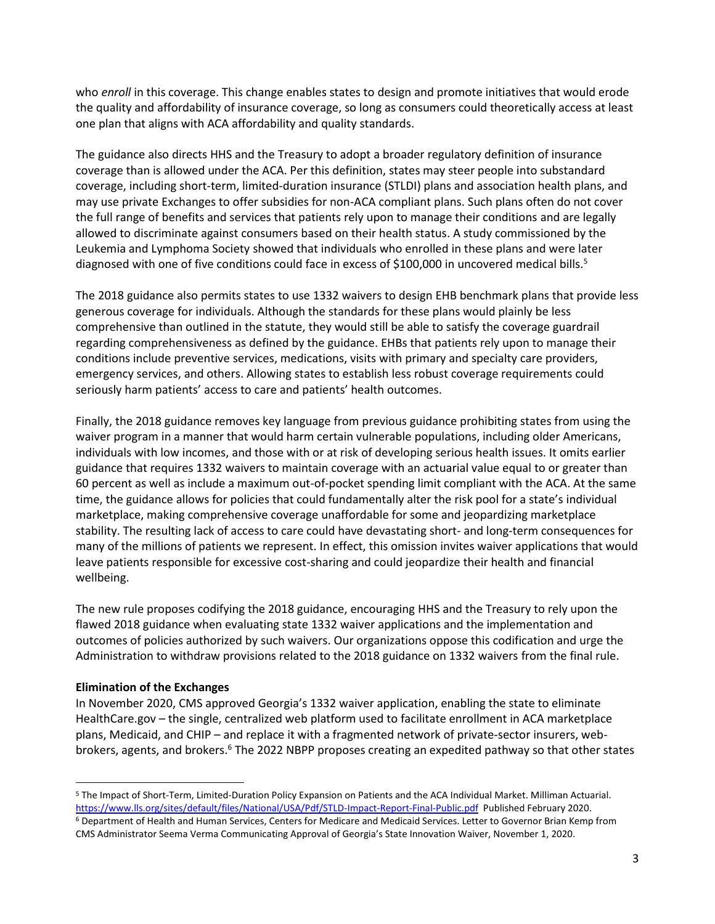who *enroll* in this coverage. This change enables states to design and promote initiatives that would erode the quality and affordability of insurance coverage, so long as consumers could theoretically access at least one plan that aligns with ACA affordability and quality standards.

The guidance also directs HHS and the Treasury to adopt a broader regulatory definition of insurance coverage than is allowed under the ACA. Per this definition, states may steer people into substandard coverage, including short-term, limited-duration insurance (STLDI) plans and association health plans, and may use private Exchanges to offer subsidies for non-ACA compliant plans. Such plans often do not cover the full range of benefits and services that patients rely upon to manage their conditions and are legally allowed to discriminate against consumers based on their health status. A study commissioned by the Leukemia and Lymphoma Society showed that individuals who enrolled in these plans and were later diagnosed with one of five conditions could face in excess of \$100,000 in uncovered medical bills.<sup>5</sup>

The 2018 guidance also permits states to use 1332 waivers to design EHB benchmark plans that provide less generous coverage for individuals. Although the standards for these plans would plainly be less comprehensive than outlined in the statute, they would still be able to satisfy the coverage guardrail regarding comprehensiveness as defined by the guidance. EHBs that patients rely upon to manage their conditions include preventive services, medications, visits with primary and specialty care providers, emergency services, and others. Allowing states to establish less robust coverage requirements could seriously harm patients' access to care and patients' health outcomes.

Finally, the 2018 guidance removes key language from previous guidance prohibiting states from using the waiver program in a manner that would harm certain vulnerable populations, including older Americans, individuals with low incomes, and those with or at risk of developing serious health issues. It omits earlier guidance that requires 1332 waivers to maintain coverage with an actuarial value equal to or greater than 60 percent as well as include a maximum out-of-pocket spending limit compliant with the ACA. At the same time, the guidance allows for policies that could fundamentally alter the risk pool for a state's individual marketplace, making comprehensive coverage unaffordable for some and jeopardizing marketplace stability. The resulting lack of access to care could have devastating short- and long-term consequences for many of the millions of patients we represent. In effect, this omission invites waiver applications that would leave patients responsible for excessive cost-sharing and could jeopardize their health and financial wellbeing.

The new rule proposes codifying the 2018 guidance, encouraging HHS and the Treasury to rely upon the flawed 2018 guidance when evaluating state 1332 waiver applications and the implementation and outcomes of policies authorized by such waivers. Our organizations oppose this codification and urge the Administration to withdraw provisions related to the 2018 guidance on 1332 waivers from the final rule.

## **Elimination of the Exchanges**

In November 2020, CMS approved Georgia's 1332 waiver application, enabling the state to eliminate HealthCare.gov – the single, centralized web platform used to facilitate enrollment in ACA marketplace plans, Medicaid, and CHIP – and replace it with a fragmented network of private-sector insurers, webbrokers, agents, and brokers.<sup>6</sup> The 2022 NBPP proposes creating an expedited pathway so that other states

<sup>5</sup> The Impact of Short-Term, Limited-Duration Policy Expansion on Patients and the ACA Individual Market. Milliman Actuarial. <https://www.lls.org/sites/default/files/National/USA/Pdf/STLD-Impact-Report-Final-Public.pdf>Published February 2020. <sup>6</sup> Department of Health and Human Services, Centers for Medicare and Medicaid Services. Letter to Governor Brian Kemp from CMS Administrator Seema Verma Communicating Approval of Georgia's State Innovation Waiver, November 1, 2020.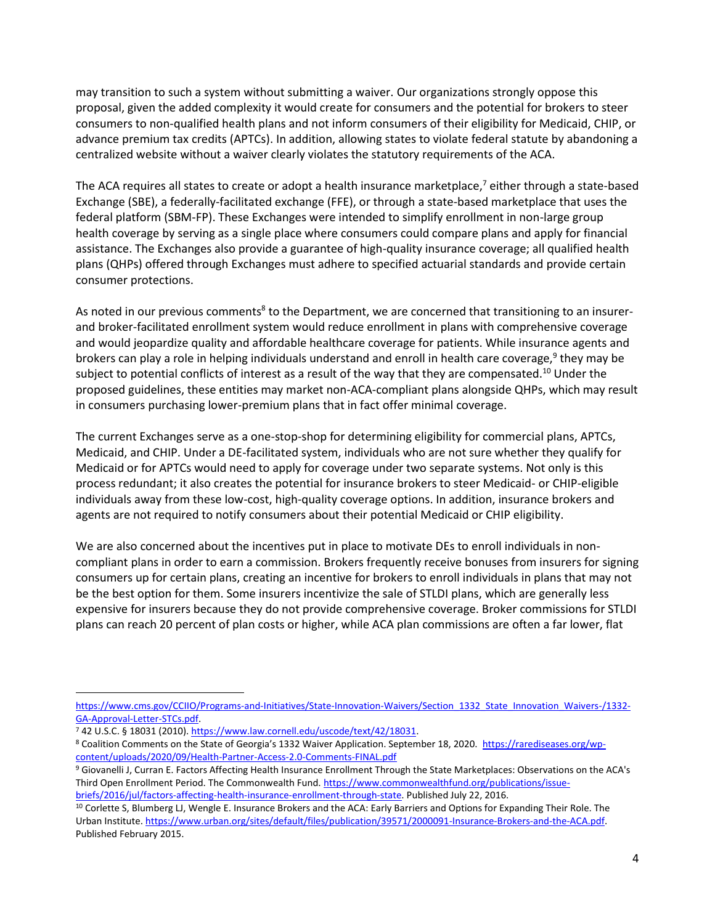may transition to such a system without submitting a waiver. Our organizations strongly oppose this proposal, given the added complexity it would create for consumers and the potential for brokers to steer consumers to non-qualified health plans and not inform consumers of their eligibility for Medicaid, CHIP, or advance premium tax credits (APTCs). In addition, allowing states to violate federal statute by abandoning a centralized website without a waiver clearly violates the statutory requirements of the ACA.

The ACA requires all states to create or adopt a health insurance marketplace,<sup>7</sup> either through a state-based Exchange (SBE), a federally-facilitated exchange (FFE), or through a state-based marketplace that uses the federal platform (SBM-FP). These Exchanges were intended to simplify enrollment in non-large group health coverage by serving as a single place where consumers could compare plans and apply for financial assistance. The Exchanges also provide a guarantee of high-quality insurance coverage; all qualified health plans (QHPs) offered through Exchanges must adhere to specified actuarial standards and provide certain consumer protections.

As noted in our previous comments<sup>8</sup> to the Department, we are concerned that transitioning to an insurerand broker-facilitated enrollment system would reduce enrollment in plans with comprehensive coverage and would jeopardize quality and affordable healthcare coverage for patients. While insurance agents and brokers can play a role in helping individuals understand and enroll in health care coverage,<sup>9</sup> they may be subject to potential conflicts of interest as a result of the way that they are compensated.<sup>10</sup> Under the proposed guidelines, these entities may market non-ACA-compliant plans alongside QHPs, which may result in consumers purchasing lower-premium plans that in fact offer minimal coverage.

The current Exchanges serve as a one-stop-shop for determining eligibility for commercial plans, APTCs, Medicaid, and CHIP. Under a DE-facilitated system, individuals who are not sure whether they qualify for Medicaid or for APTCs would need to apply for coverage under two separate systems. Not only is this process redundant; it also creates the potential for insurance brokers to steer Medicaid- or CHIP-eligible individuals away from these low-cost, high-quality coverage options. In addition, insurance brokers and agents are not required to notify consumers about their potential Medicaid or CHIP eligibility.

We are also concerned about the incentives put in place to motivate DEs to enroll individuals in noncompliant plans in order to earn a commission. Brokers frequently receive bonuses from insurers for signing consumers up for certain plans, creating an incentive for brokers to enroll individuals in plans that may not be the best option for them. Some insurers incentivize the sale of STLDI plans, which are generally less expensive for insurers because they do not provide comprehensive coverage. Broker commissions for STLDI plans can reach 20 percent of plan costs or higher, while ACA plan commissions are often a far lower, flat

[https://www.cms.gov/CCIIO/Programs-and-Initiatives/State-Innovation-Waivers/Section\\_1332\\_State\\_Innovation\\_Waivers-/1332-](https://www.cms.gov/CCIIO/Programs-and-Initiatives/State-Innovation-Waivers/Section_1332_State_Innovation_Waivers-/1332-GA-Approval-Letter-STCs.pdf) [GA-Approval-Letter-STCs.pdf.](https://www.cms.gov/CCIIO/Programs-and-Initiatives/State-Innovation-Waivers/Section_1332_State_Innovation_Waivers-/1332-GA-Approval-Letter-STCs.pdf)

<sup>7</sup> 42 U.S.C. § 18031 (2010). [https://www.law.cornell.edu/uscode/text/42/18031.](https://www.law.cornell.edu/uscode/text/42/18031) 

<sup>&</sup>lt;sup>8</sup> Coalition Comments on the State of Georgia's 1332 Waiver Application. September 18, 2020. [https://rarediseases.org/wp](https://rarediseases.org/wp-content/uploads/2020/09/Health-Partner-Access-2.0-Comments-FINAL.pdf)[content/uploads/2020/09/Health-Partner-Access-2.0-Comments-FINAL.pdf](https://rarediseases.org/wp-content/uploads/2020/09/Health-Partner-Access-2.0-Comments-FINAL.pdf)

<sup>9</sup> Giovanelli J, Curran E. Factors Affecting Health Insurance Enrollment Through the State Marketplaces: Observations on the ACA's Third Open Enrollment Period. The Commonwealth Fund. [https://www.commonwealthfund.org/publications/issue](https://www.commonwealthfund.org/publications/issue-briefs/2016/jul/factors-affecting-health-insurance-enrollment-through-state)[briefs/2016/jul/factors-affecting-health-insurance-enrollment-through-state.](https://www.commonwealthfund.org/publications/issue-briefs/2016/jul/factors-affecting-health-insurance-enrollment-through-state) Published July 22, 2016.

<sup>10</sup> Corlette S, Blumberg LJ, Wengle E. Insurance Brokers and the ACA: Early Barriers and Options for Expanding Their Role. The Urban Institute. [https://www.urban.org/sites/default/files/publication/39571/2000091-Insurance-Brokers-and-the-ACA.pdf.](https://www.urban.org/sites/default/files/publication/39571/2000091-Insurance-Brokers-and-the-ACA.pdf) Published February 2015.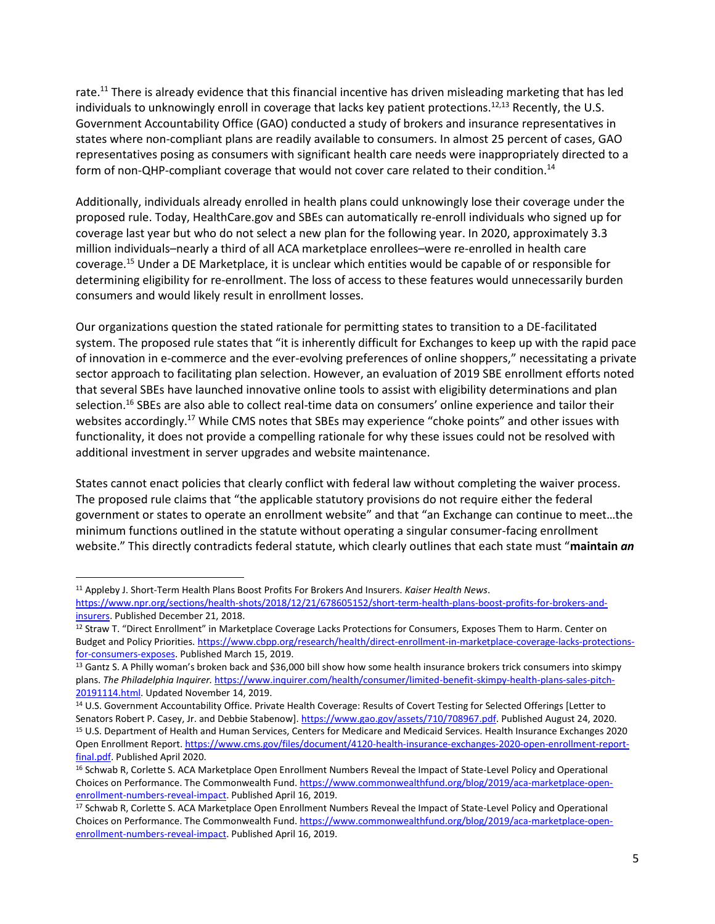rate.<sup>11</sup> There is already evidence that this financial incentive has driven misleading marketing that has led individuals to unknowingly enroll in coverage that lacks key patient protections.<sup>12,13</sup> Recently, the U.S. Government Accountability Office (GAO) conducted a study of brokers and insurance representatives in states where non-compliant plans are readily available to consumers. In almost 25 percent of cases, GAO representatives posing as consumers with significant health care needs were inappropriately directed to a form of non-QHP-compliant coverage that would not cover care related to their condition.<sup>14</sup>

Additionally, individuals already enrolled in health plans could unknowingly lose their coverage under the proposed rule. Today, HealthCare.gov and SBEs can automatically re-enroll individuals who signed up for coverage last year but who do not select a new plan for the following year. In 2020, approximately 3.3 million individuals–nearly a third of all ACA marketplace enrollees–were re-enrolled in health care coverage.<sup>15</sup> Under a DE Marketplace, it is unclear which entities would be capable of or responsible for determining eligibility for re-enrollment. The loss of access to these features would unnecessarily burden consumers and would likely result in enrollment losses.

Our organizations question the stated rationale for permitting states to transition to a DE-facilitated system. The proposed rule states that "it is inherently difficult for Exchanges to keep up with the rapid pace of innovation in e-commerce and the ever-evolving preferences of online shoppers," necessitating a private sector approach to facilitating plan selection. However, an evaluation of 2019 SBE enrollment efforts noted that several SBEs have launched innovative online tools to assist with eligibility determinations and plan selection.<sup>16</sup> SBEs are also able to collect real-time data on consumers' online experience and tailor their websites accordingly.<sup>17</sup> While CMS notes that SBEs may experience "choke points" and other issues with functionality, it does not provide a compelling rationale for why these issues could not be resolved with additional investment in server upgrades and website maintenance.

States cannot enact policies that clearly conflict with federal law without completing the waiver process. The proposed rule claims that "the applicable statutory provisions do not require either the federal government or states to operate an enrollment website" and that "an Exchange can continue to meet…the minimum functions outlined in the statute without operating a singular consumer-facing enrollment website." This directly contradicts federal statute, which clearly outlines that each state must "**maintain** *an*

<sup>11</sup> Appleby J. Short-Term Health Plans Boost Profits For Brokers And Insurers. *Kaiser Health News*. [https://www.npr.org/sections/health-shots/2018/12/21/678605152/short-term-health-plans-boost-profits-for-brokers-and-](https://www.npr.org/sections/health-shots/2018/12/21/678605152/short-term-health-plans-boost-profits-for-brokers-and-insurers)

[insurers.](https://www.npr.org/sections/health-shots/2018/12/21/678605152/short-term-health-plans-boost-profits-for-brokers-and-insurers) Published December 21, 2018.

<sup>12</sup> Straw T. "Direct Enrollment" in Marketplace Coverage Lacks Protections for Consumers, Exposes Them to Harm. Center on Budget and Policy Priorities[. https://www.cbpp.org/research/health/direct-enrollment-in-marketplace-coverage-lacks-protections](https://www.cbpp.org/research/health/direct-enrollment-in-marketplace-coverage-lacks-protections-for-consumers-exposes)[for-consumers-exposes.](https://www.cbpp.org/research/health/direct-enrollment-in-marketplace-coverage-lacks-protections-for-consumers-exposes) Published March 15, 2019.

<sup>&</sup>lt;sup>13</sup> Gantz S. A Philly woman's broken back and \$36,000 bill show how some health insurance brokers trick consumers into skimpy plans. *The Philadelphia Inquirer.* [https://www.inquirer.com/health/consumer/limited-benefit-skimpy-health-plans-sales-pitch-](https://www.inquirer.com/health/consumer/limited-benefit-skimpy-health-plans-sales-pitch-20191114.html)[20191114.html.](https://www.inquirer.com/health/consumer/limited-benefit-skimpy-health-plans-sales-pitch-20191114.html) Updated November 14, 2019.

<sup>14</sup> U.S. Government Accountability Office. Private Health Coverage: Results of Covert Testing for Selected Offerings [Letter to Senators Robert P. Casey, Jr. and Debbie Stabenow]. [https://www.gao.gov/assets/710/708967.pdf.](https://www.gao.gov/assets/710/708967.pdf) Published August 24, 2020. <sup>15</sup> U.S. Department of Health and Human Services, Centers for Medicare and Medicaid Services. Health Insurance Exchanges 2020 Open Enrollment Report[. https://www.cms.gov/files/document/4120-health-insurance-exchanges-2020-open-enrollment-report](https://www.cms.gov/files/document/4120-health-insurance-exchanges-2020-open-enrollment-report-final.pdf)[final.pdf.](https://www.cms.gov/files/document/4120-health-insurance-exchanges-2020-open-enrollment-report-final.pdf) Published April 2020.

<sup>&</sup>lt;sup>16</sup> Schwab R, Corlette S. ACA Marketplace Open Enrollment Numbers Reveal the Impact of State-Level Policy and Operational Choices on Performance. The Commonwealth Fund. [https://www.commonwealthfund.org/blog/2019/aca-marketplace-open](https://www.commonwealthfund.org/blog/2019/aca-marketplace-open-enrollment-numbers-reveal-impact)[enrollment-numbers-reveal-impact.](https://www.commonwealthfund.org/blog/2019/aca-marketplace-open-enrollment-numbers-reveal-impact) Published April 16, 2019.

<sup>17</sup> Schwab R, Corlette S. ACA Marketplace Open Enrollment Numbers Reveal the Impact of State-Level Policy and Operational Choices on Performance. The Commonwealth Fund. [https://www.commonwealthfund.org/blog/2019/aca-marketplace-open](https://www.commonwealthfund.org/blog/2019/aca-marketplace-open-enrollment-numbers-reveal-impact)[enrollment-numbers-reveal-impact.](https://www.commonwealthfund.org/blog/2019/aca-marketplace-open-enrollment-numbers-reveal-impact) Published April 16, 2019.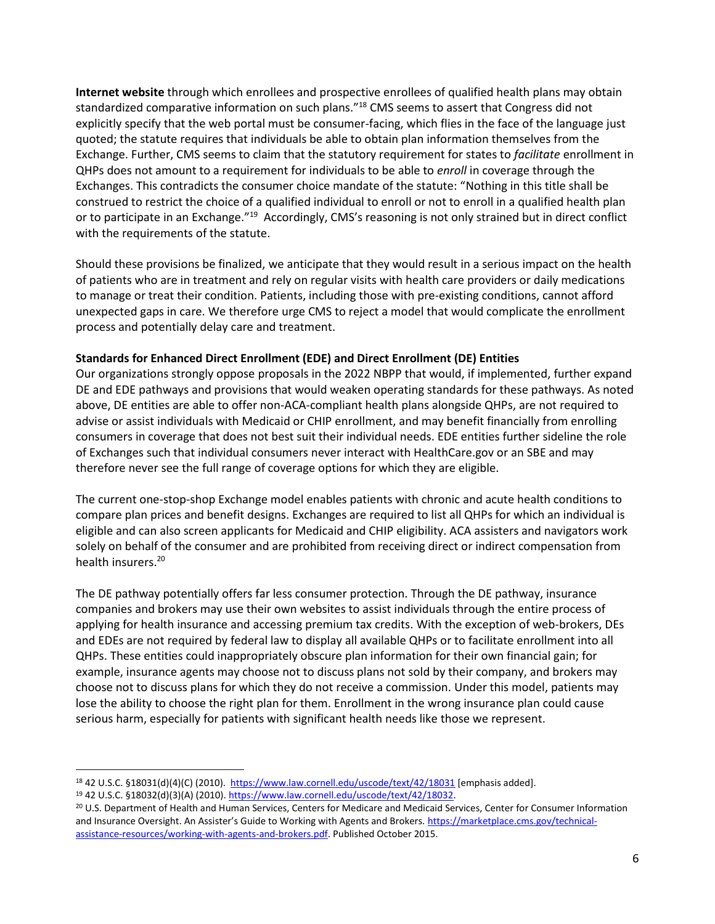**Internet website** through which enrollees and prospective enrollees of qualified health plans may obtain standardized comparative information on such plans."<sup>18</sup> CMS seems to assert that Congress did not explicitly specify that the web portal must be consumer-facing, which flies in the face of the language just quoted; the statute requires that individuals be able to obtain plan information themselves from the Exchange. Further, CMS seems to claim that the statutory requirement for states to *facilitate* enrollment in QHPs does not amount to a requirement for individuals to be able to *enroll* in coverage through the Exchanges. This contradicts the consumer choice mandate of the statute: "Nothing in this title shall be construed to restrict the choice of a qualified individual to enroll or not to enroll in a qualified health plan or to participate in an Exchange."<sup>19</sup> Accordingly, CMS's reasoning is not only strained but in direct conflict with the requirements of the statute.

Should these provisions be finalized, we anticipate that they would result in a serious impact on the health of patients who are in treatment and rely on regular visits with health care providers or daily medications to manage or treat their condition. Patients, including those with pre-existing conditions, cannot afford unexpected gaps in care. We therefore urge CMS to reject a model that would complicate the enrollment process and potentially delay care and treatment.

## **Standards for Enhanced Direct Enrollment (EDE) and Direct Enrollment (DE) Entities**

Our organizations strongly oppose proposals in the 2022 NBPP that would, if implemented, further expand DE and EDE pathways and provisions that would weaken operating standards for these pathways. As noted above, DE entities are able to offer non-ACA-compliant health plans alongside QHPs, are not required to advise or assist individuals with Medicaid or CHIP enrollment, and may benefit financially from enrolling consumers in coverage that does not best suit their individual needs. EDE entities further sideline the role of Exchanges such that individual consumers never interact with HealthCare.gov or an SBE and may therefore never see the full range of coverage options for which they are eligible.

The current one-stop-shop Exchange model enables patients with chronic and acute health conditions to compare plan prices and benefit designs. Exchanges are required to list all QHPs for which an individual is eligible and can also screen applicants for Medicaid and CHIP eligibility. ACA assisters and navigators work solely on behalf of the consumer and are prohibited from receiving direct or indirect compensation from health insurers.<sup>20</sup>

The DE pathway potentially offers far less consumer protection. Through the DE pathway, insurance companies and brokers may use their own websites to assist individuals through the entire process of applying for health insurance and accessing premium tax credits. With the exception of web-brokers, DEs and EDEs are not required by federal law to display all available QHPs or to facilitate enrollment into all QHPs. These entities could inappropriately obscure plan information for their own financial gain; for example, insurance agents may choose not to discuss plans not sold by their company, and brokers may choose not to discuss plans for which they do not receive a commission. Under this model, patients may lose the ability to choose the right plan for them. Enrollment in the wrong insurance plan could cause serious harm, especially for patients with significant health needs like those we represent.

<sup>18</sup> 42 U.S.C. §18031(d)(4)(C) (2010).<https://www.law.cornell.edu/uscode/text/42/18031> [emphasis added].

<sup>19 42</sup> U.S.C. §18032(d)(3)(A) (2010). [https://www.law.cornell.edu/uscode/text/42/18032.](https://www.law.cornell.edu/uscode/text/42/18032)

<sup>20</sup> U.S. Department of Health and Human Services, Centers for Medicare and Medicaid Services, Center for Consumer Information and Insurance Oversight. An Assister's Guide to Working with Agents and Brokers. [https://marketplace.cms.gov/technical](https://marketplace.cms.gov/technical-assistance-resources/working-with-agents-and-brokers.pdf)[assistance-resources/working-with-agents-and-brokers.pdf.](https://marketplace.cms.gov/technical-assistance-resources/working-with-agents-and-brokers.pdf) Published October 2015.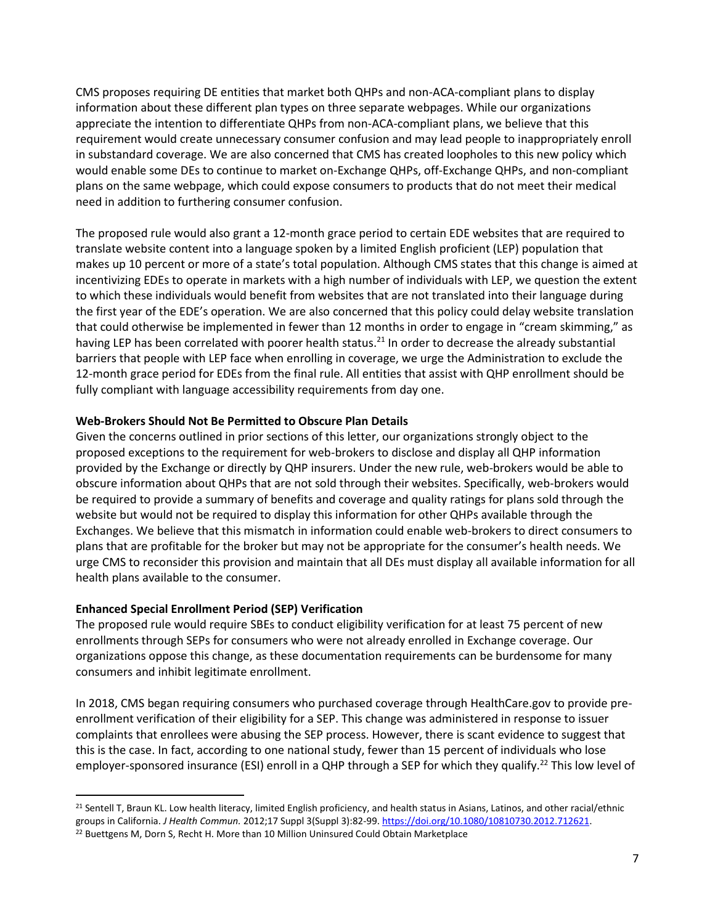CMS proposes requiring DE entities that market both QHPs and non-ACA-compliant plans to display information about these different plan types on three separate webpages. While our organizations appreciate the intention to differentiate QHPs from non-ACA-compliant plans, we believe that this requirement would create unnecessary consumer confusion and may lead people to inappropriately enroll in substandard coverage. We are also concerned that CMS has created loopholes to this new policy which would enable some DEs to continue to market on-Exchange QHPs, off-Exchange QHPs, and non-compliant plans on the same webpage, which could expose consumers to products that do not meet their medical need in addition to furthering consumer confusion.

The proposed rule would also grant a 12-month grace period to certain EDE websites that are required to translate website content into a language spoken by a limited English proficient (LEP) population that makes up 10 percent or more of a state's total population. Although CMS states that this change is aimed at incentivizing EDEs to operate in markets with a high number of individuals with LEP, we question the extent to which these individuals would benefit from websites that are not translated into their language during the first year of the EDE's operation. We are also concerned that this policy could delay website translation that could otherwise be implemented in fewer than 12 months in order to engage in "cream skimming," as having LEP has been correlated with poorer health status.<sup>21</sup> In order to decrease the already substantial barriers that people with LEP face when enrolling in coverage, we urge the Administration to exclude the 12-month grace period for EDEs from the final rule. All entities that assist with QHP enrollment should be fully compliant with language accessibility requirements from day one.

## **Web-Brokers Should Not Be Permitted to Obscure Plan Details**

Given the concerns outlined in prior sections of this letter, our organizations strongly object to the proposed exceptions to the requirement for web-brokers to disclose and display all QHP information provided by the Exchange or directly by QHP insurers. Under the new rule, web-brokers would be able to obscure information about QHPs that are not sold through their websites. Specifically, web-brokers would be required to provide a summary of benefits and coverage and quality ratings for plans sold through the website but would not be required to display this information for other QHPs available through the Exchanges. We believe that this mismatch in information could enable web-brokers to direct consumers to plans that are profitable for the broker but may not be appropriate for the consumer's health needs. We urge CMS to reconsider this provision and maintain that all DEs must display all available information for all health plans available to the consumer.

## **Enhanced Special Enrollment Period (SEP) Verification**

The proposed rule would require SBEs to conduct eligibility verification for at least 75 percent of new enrollments through SEPs for consumers who were not already enrolled in Exchange coverage. Our organizations oppose this change, as these documentation requirements can be burdensome for many consumers and inhibit legitimate enrollment.

In 2018, CMS began requiring consumers who purchased coverage through HealthCare.gov to provide preenrollment verification of their eligibility for a SEP. This change was administered in response to issuer complaints that enrollees were abusing the SEP process. However, there is scant evidence to suggest that this is the case. In fact, according to one national study, fewer than 15 percent of individuals who lose employer-sponsored insurance (ESI) enroll in a QHP through a SEP for which they qualify.<sup>22</sup> This low level of

<sup>&</sup>lt;sup>21</sup> Sentell T, Braun KL. Low health literacy, limited English proficiency, and health status in Asians, Latinos, and other racial/ethnic groups in California. *J Health Commun.* 2012;17 Suppl 3(Suppl 3):82-99[. https://doi.org/10.1080/10810730.2012.712621.](https://doi.org/10.1080/10810730.2012.712621) <sup>22</sup> Buettgens M, Dorn S, Recht H. More than 10 Million Uninsured Could Obtain Marketplace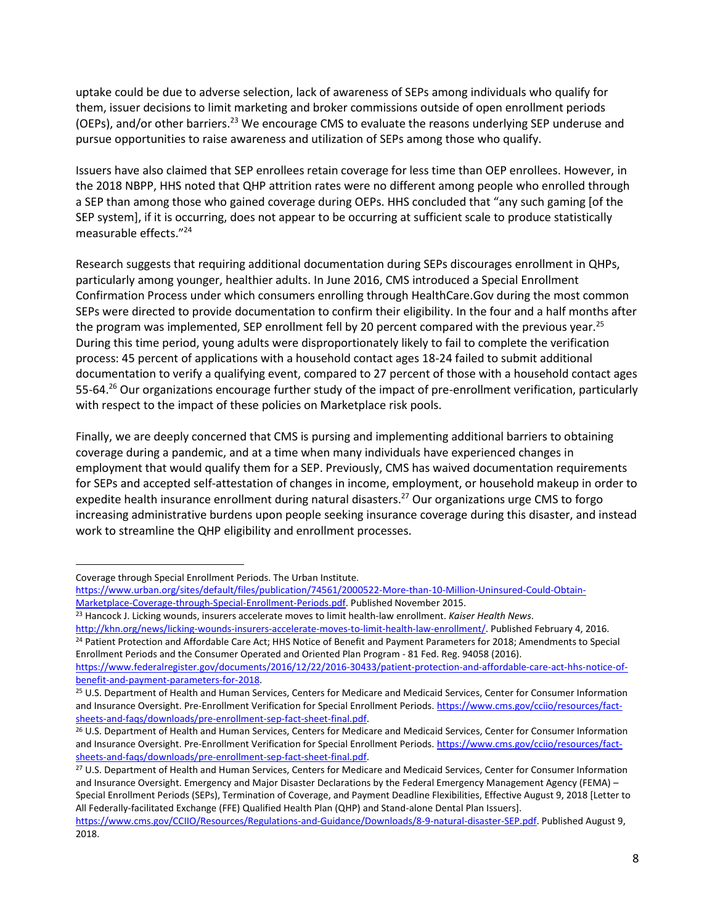uptake could be due to adverse selection, lack of awareness of SEPs among individuals who qualify for them, issuer decisions to limit marketing and broker commissions outside of open enrollment periods (OEPs), and/or other barriers.<sup>23</sup> We encourage CMS to evaluate the reasons underlying SEP underuse and pursue opportunities to raise awareness and utilization of SEPs among those who qualify.

Issuers have also claimed that SEP enrollees retain coverage for less time than OEP enrollees. However, in the 2018 NBPP, HHS noted that QHP attrition rates were no different among people who enrolled through a SEP than among those who gained coverage during OEPs. HHS concluded that "any such gaming [of the SEP system], if it is occurring, does not appear to be occurring at sufficient scale to produce statistically measurable effects."<sup>24</sup>

Research suggests that requiring additional documentation during SEPs discourages enrollment in QHPs, particularly among younger, healthier adults. In June 2016, CMS introduced a Special Enrollment Confirmation Process under which consumers enrolling through HealthCare.Gov during the most common SEPs were directed to provide documentation to confirm their eligibility. In the four and a half months after the program was implemented, SEP enrollment fell by 20 percent compared with the previous year.<sup>25</sup> During this time period, young adults were disproportionately likely to fail to complete the verification process: 45 percent of applications with a household contact ages 18-24 failed to submit additional documentation to verify a qualifying event, compared to 27 percent of those with a household contact ages 55-64.<sup>26</sup> Our organizations encourage further study of the impact of pre-enrollment verification, particularly with respect to the impact of these policies on Marketplace risk pools.

Finally, we are deeply concerned that CMS is pursing and implementing additional barriers to obtaining coverage during a pandemic, and at a time when many individuals have experienced changes in employment that would qualify them for a SEP. Previously, CMS has waived documentation requirements for SEPs and accepted self-attestation of changes in income, employment, or household makeup in order to expedite health insurance enrollment during natural disasters.<sup>27</sup> Our organizations urge CMS to forgo increasing administrative burdens upon people seeking insurance coverage during this disaster, and instead work to streamline the QHP eligibility and enrollment processes.

Coverage through Special Enrollment Periods. The Urban Institute.

[http://khn.org/news/licking-wounds-insurers-accelerate-moves-to-limit-health-law-enrollment/.](http://khn.org/news/licking-wounds-insurers-accelerate-moves-to-limit-health-law-enrollment/) Published February 4, 2016. <sup>24</sup> Patient Protection and Affordable Care Act; HHS Notice of Benefit and Payment Parameters for 2018; Amendments to Special Enrollment Periods and the Consumer Operated and Oriented Plan Program - 81 Fed. Reg. 94058 (2016).

[https://www.urban.org/sites/default/files/publication/74561/2000522-More-than-10-Million-Uninsured-Could-Obtain-](https://www.urban.org/sites/default/files/publication/74561/2000522-More-than-10-Million-Uninsured-Could-Obtain-Marketplace-Coverage-through-Special-Enrollment-Periods.pdf)[Marketplace-Coverage-through-Special-Enrollment-Periods.pdf.](https://www.urban.org/sites/default/files/publication/74561/2000522-More-than-10-Million-Uninsured-Could-Obtain-Marketplace-Coverage-through-Special-Enrollment-Periods.pdf) Published November 2015.

<sup>23</sup> Hancock J. Licking wounds, insurers accelerate moves to limit health-law enrollment. *Kaiser Health News*.

[https://www.federalregister.gov/documents/2016/12/22/2016-30433/patient-protection-and-affordable-care-act-hhs-notice-of](https://www.federalregister.gov/documents/2016/12/22/2016-30433/patient-protection-and-affordable-care-act-hhs-notice-of-benefit-and-payment-parameters-for-2018)[benefit-and-payment-parameters-for-2018.](https://www.federalregister.gov/documents/2016/12/22/2016-30433/patient-protection-and-affordable-care-act-hhs-notice-of-benefit-and-payment-parameters-for-2018) 

<sup>25</sup> U.S. Department of Health and Human Services, Centers for Medicare and Medicaid Services, Center for Consumer Information and Insurance Oversight. Pre-Enrollment Verification for Special Enrollment Periods[. https://www.cms.gov/cciio/resources/fact](https://www.cms.gov/cciio/resources/fact-sheets-and-faqs/downloads/pre-enrollment-sep-fact-sheet-final.pdf)[sheets-and-faqs/downloads/pre-enrollment-sep-fact-sheet-final.pdf.](https://www.cms.gov/cciio/resources/fact-sheets-and-faqs/downloads/pre-enrollment-sep-fact-sheet-final.pdf)

<sup>&</sup>lt;sup>26</sup> U.S. Department of Health and Human Services, Centers for Medicare and Medicaid Services, Center for Consumer Information and Insurance Oversight. Pre-Enrollment Verification for Special Enrollment Periods[. https://www.cms.gov/cciio/resources/fact](https://www.cms.gov/cciio/resources/fact-sheets-and-faqs/downloads/pre-enrollment-sep-fact-sheet-final.pdf)[sheets-and-faqs/downloads/pre-enrollment-sep-fact-sheet-final.pdf.](https://www.cms.gov/cciio/resources/fact-sheets-and-faqs/downloads/pre-enrollment-sep-fact-sheet-final.pdf)

<sup>27</sup> U.S. Department of Health and Human Services, Centers for Medicare and Medicaid Services, Center for Consumer Information and Insurance Oversight. Emergency and Major Disaster Declarations by the Federal Emergency Management Agency (FEMA) – Special Enrollment Periods (SEPs), Termination of Coverage, and Payment Deadline Flexibilities, Effective August 9, 2018 [Letter to All Federally-facilitated Exchange (FFE) Qualified Health Plan (QHP) and Stand-alone Dental Plan Issuers].

[https://www.cms.gov/CCIIO/Resources/Regulations-and-Guidance/Downloads/8-9-natural-disaster-SEP.pdf.](https://www.cms.gov/CCIIO/Resources/Regulations-and-Guidance/Downloads/8-9-natural-disaster-SEP.pdf) Published August 9, 2018.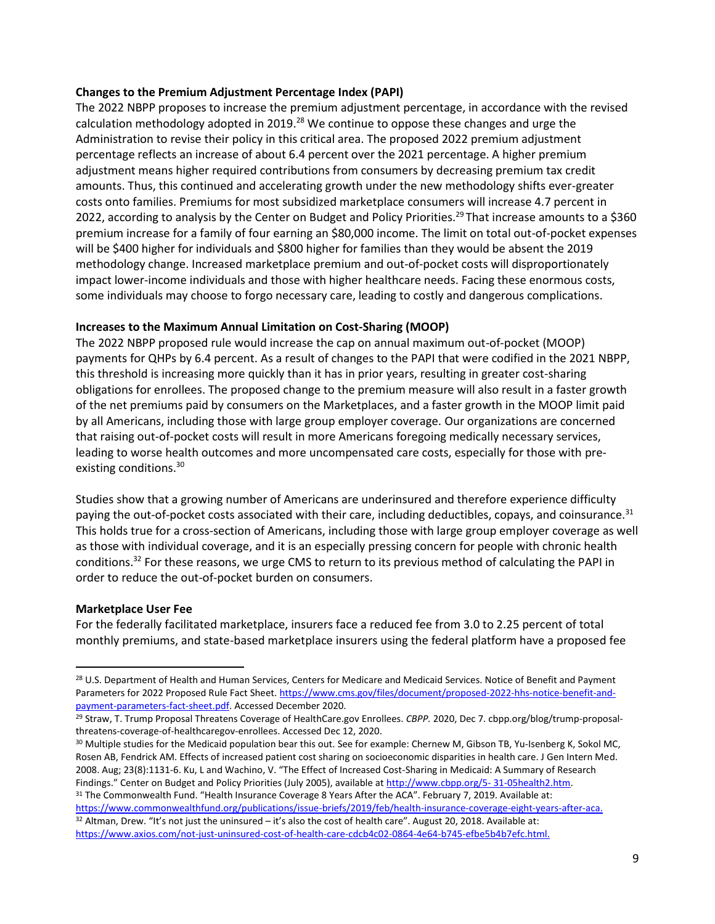## **Changes to the Premium Adjustment Percentage Index (PAPI)**

The 2022 NBPP proposes to increase the premium adjustment percentage, in accordance with the revised calculation methodology adopted in 2019.<sup>28</sup> We continue to oppose these changes and urge the Administration to revise their policy in this critical area. The proposed 2022 premium adjustment percentage reflects an increase of about 6.4 percent over the 2021 percentage. A higher premium adjustment means higher required contributions from consumers by decreasing premium tax credit amounts. Thus, this continued and accelerating growth under the new methodology shifts ever-greater costs onto families. Premiums for most subsidized marketplace consumers will increase 4.7 percent in 2022, according to analysis by the Center on Budget and Policy Priorities.<sup>29</sup> That increase amounts to a \$360 premium increase for a family of four earning an \$80,000 income. The limit on total out-of-pocket expenses will be \$400 higher for individuals and \$800 higher for families than they would be absent the 2019 methodology change. Increased marketplace premium and out-of-pocket costs will disproportionately impact lower-income individuals and those with higher healthcare needs. Facing these enormous costs, some individuals may choose to forgo necessary care, leading to costly and dangerous complications.

## **Increases to the Maximum Annual Limitation on Cost-Sharing (MOOP)**

The 2022 NBPP proposed rule would increase the cap on annual maximum out-of-pocket (MOOP) payments for QHPs by 6.4 percent. As a result of changes to the PAPI that were codified in the 2021 NBPP, this threshold is increasing more quickly than it has in prior years, resulting in greater cost-sharing obligations for enrollees. The proposed change to the premium measure will also result in a faster growth of the net premiums paid by consumers on the Marketplaces, and a faster growth in the MOOP limit paid by all Americans, including those with large group employer coverage. Our organizations are concerned that raising out-of-pocket costs will result in more Americans foregoing medically necessary services, leading to worse health outcomes and more uncompensated care costs, especially for those with preexisting conditions. 30

Studies show that a growing number of Americans are underinsured and therefore experience difficulty paying the out-of-pocket costs associated with their care, including deductibles, copays, and coinsurance.<sup>31</sup> This holds true for a cross-section of Americans, including those with large group employer coverage as well as those with individual coverage, and it is an especially pressing concern for people with chronic health conditions.<sup>32</sup> For these reasons, we urge CMS to return to its previous method of calculating the PAPI in order to reduce the out-of-pocket burden on consumers.

#### **Marketplace User Fee**

For the federally facilitated marketplace, insurers face a reduced fee from 3.0 to 2.25 percent of total monthly premiums, and state-based marketplace insurers using the federal platform have a proposed fee

<sup>30</sup> Multiple studies for the Medicaid population bear this out. See for example: Chernew M, Gibson TB, Yu-Isenberg K, Sokol MC, Rosen AB, Fendrick AM. Effects of increased patient cost sharing on socioeconomic disparities in health care. J Gen Intern Med. 2008. Aug; 23(8):1131-6. Ku, L and Wachino, V. "The Effect of Increased Cost-Sharing in Medicaid: A Summary of Research Findings." Center on Budget and Policy Priorities (July 2005), available at [http://www.cbpp.org/5-](http://www.cbpp.org/5-%2031-05health2.htm)31-05health2.htm. <sup>31</sup> The Commonwealth Fund. "Health Insurance Coverage 8 Years After the ACA". February 7, 2019. Available at:

[https://www.commonwealthfund.org/publications/issue-briefs/2019/feb/health-insurance-coverage-eight-years-after-aca.](https://www.commonwealthfund.org/publications/issue-briefs/2019/feb/health-insurance-coverage-eight-years-after-aca)  $32$  Altman, Drew. "It's not just the uninsured – it's also the cost of health care". August 20, 2018. Available at: [https://www.axios.com/not-just-uninsured-cost-of-health-care-cdcb4c02-0864-4e64-b745-efbe5b4b7efc.html.](https://www.axios.com/not-just-uninsured-cost-of-health-care-cdcb4c02-0864-4e64-b745-efbe5b4b7efc.html)

<sup>&</sup>lt;sup>28</sup> U.S. Department of Health and Human Services, Centers for Medicare and Medicaid Services. Notice of Benefit and Payment Parameters for 2022 Proposed Rule Fact Sheet[. https://www.cms.gov/files/document/proposed-2022-hhs-notice-benefit-and](https://www.cms.gov/files/document/proposed-2022-hhs-notice-benefit-and-payment-parameters-fact-sheet.pdf)[payment-parameters-fact-sheet.pdf.](https://www.cms.gov/files/document/proposed-2022-hhs-notice-benefit-and-payment-parameters-fact-sheet.pdf) Accessed December 2020.

<sup>29</sup> Straw, T. Trump Proposal Threatens Coverage of HealthCare.gov Enrollees. *CBPP.* 2020, Dec 7. cbpp.org/blog/trump-proposalthreatens-coverage-of-healthcaregov-enrollees. Accessed Dec 12, 2020.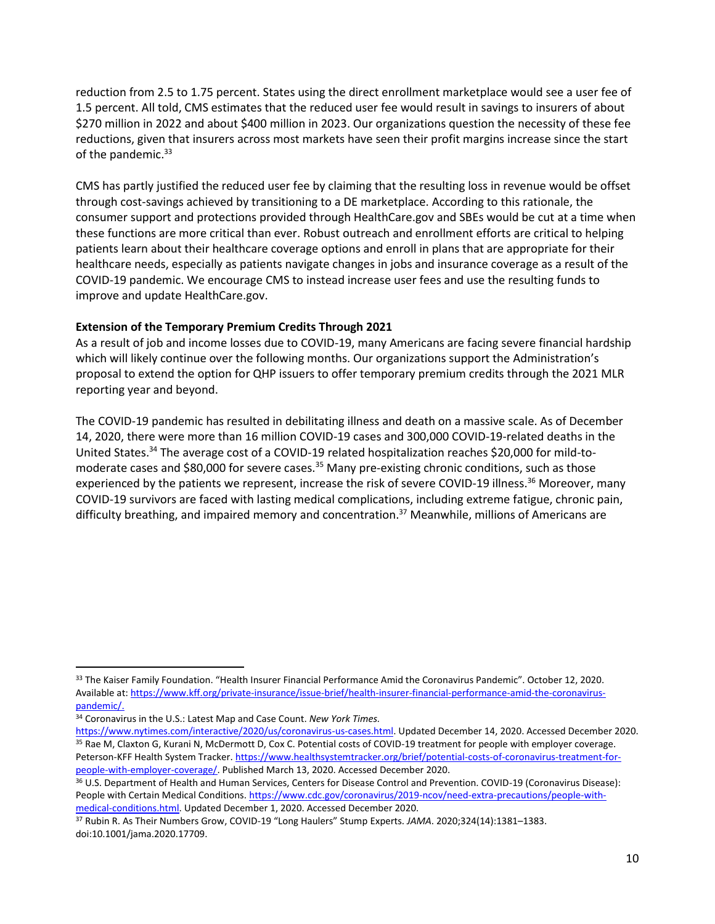reduction from 2.5 to 1.75 percent. States using the direct enrollment marketplace would see a user fee of 1.5 percent. All told, CMS estimates that the reduced user fee would result in savings to insurers of about \$270 million in 2022 and about \$400 million in 2023. Our organizations question the necessity of these fee reductions, given that insurers across most markets have seen their profit margins increase since the start of the pandemic.<sup>33</sup>

CMS has partly justified the reduced user fee by claiming that the resulting loss in revenue would be offset through cost-savings achieved by transitioning to a DE marketplace. According to this rationale, the consumer support and protections provided through HealthCare.gov and SBEs would be cut at a time when these functions are more critical than ever. Robust outreach and enrollment efforts are critical to helping patients learn about their healthcare coverage options and enroll in plans that are appropriate for their healthcare needs, especially as patients navigate changes in jobs and insurance coverage as a result of the COVID-19 pandemic. We encourage CMS to instead increase user fees and use the resulting funds to improve and update HealthCare.gov.

## **Extension of the Temporary Premium Credits Through 2021**

As a result of job and income losses due to COVID-19, many Americans are facing severe financial hardship which will likely continue over the following months. Our organizations support the Administration's proposal to extend the option for QHP issuers to offer temporary premium credits through the 2021 MLR reporting year and beyond.

The COVID-19 pandemic has resulted in debilitating illness and death on a massive scale. As of December 14, 2020, there were more than 16 million COVID-19 cases and 300,000 COVID-19-related deaths in the United States.<sup>34</sup> The average cost of a COVID-19 related hospitalization reaches \$20,000 for mild-tomoderate cases and \$80,000 for severe cases.<sup>35</sup> Many pre-existing chronic conditions, such as those experienced by the patients we represent, increase the risk of severe COVID-19 illness.<sup>36</sup> Moreover, many COVID-19 survivors are faced with lasting medical complications, including extreme fatigue, chronic pain, difficulty breathing, and impaired memory and concentration.<sup>37</sup> Meanwhile, millions of Americans are

<sup>&</sup>lt;sup>33</sup> The Kaiser Family Foundation. "Health Insurer Financial Performance Amid the Coronavirus Pandemic". October 12, 2020. Available at: [https://www.kff.org/private-insurance/issue-brief/health-insurer-financial-performance-amid-the-coronavirus](https://www.kff.org/private-insurance/issue-brief/health-insurer-financial-performance-amid-the-coronavirus-pandemic/)[pandemic/.](https://www.kff.org/private-insurance/issue-brief/health-insurer-financial-performance-amid-the-coronavirus-pandemic/)

<sup>34</sup> Coronavirus in the U.S.: Latest Map and Case Count. *New York Times.* 

[https://www.nytimes.com/interactive/2020/us/coronavirus-us-cases.html.](https://www.nytimes.com/interactive/2020/us/coronavirus-us-cases.html) Updated December 14, 2020. Accessed December 2020. 35 Rae M, Claxton G, Kurani N, McDermott D, Cox C. Potential costs of COVID-19 treatment for people with employer coverage. Peterson-KFF Health System Tracker[. https://www.healthsystemtracker.org/brief/potential-costs-of-coronavirus-treatment-for](https://www.healthsystemtracker.org/brief/potential-costs-of-coronavirus-treatment-for-people-with-employer-coverage/)[people-with-employer-coverage/.](https://www.healthsystemtracker.org/brief/potential-costs-of-coronavirus-treatment-for-people-with-employer-coverage/) Published March 13, 2020. Accessed December 2020.

<sup>36</sup> U.S. Department of Health and Human Services, Centers for Disease Control and Prevention. COVID-19 (Coronavirus Disease): People with Certain Medical Conditions[. https://www.cdc.gov/coronavirus/2019-ncov/need-extra-precautions/people-with](https://www.cdc.gov/coronavirus/2019-ncov/need-extra-precautions/people-with-medical-conditions.html)[medical-conditions.html.](https://www.cdc.gov/coronavirus/2019-ncov/need-extra-precautions/people-with-medical-conditions.html) Updated December 1, 2020. Accessed December 2020.

<sup>37</sup> Rubin R. As Their Numbers Grow, COVID-19 "Long Haulers" Stump Experts. *JAMA*. 2020;324(14):1381–1383. doi:10.1001/jama.2020.17709.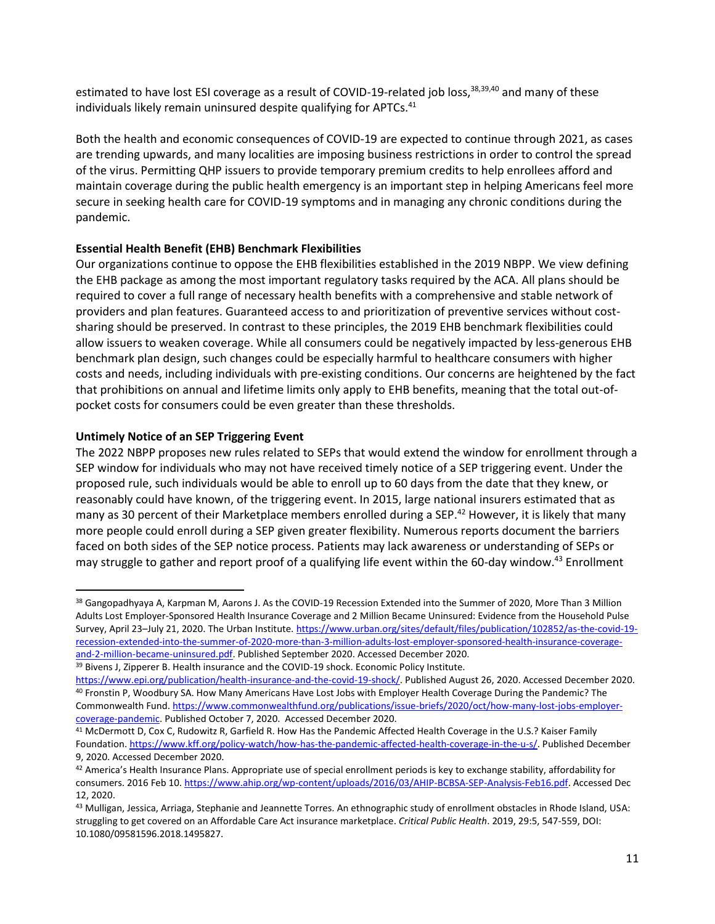estimated to have lost ESI coverage as a result of COVID-19-related job loss,<sup>38,39,40</sup> and many of these individuals likely remain uninsured despite qualifying for APTCs. $41$ 

Both the health and economic consequences of COVID-19 are expected to continue through 2021, as cases are trending upwards, and many localities are imposing business restrictions in order to control the spread of the virus. Permitting QHP issuers to provide temporary premium credits to help enrollees afford and maintain coverage during the public health emergency is an important step in helping Americans feel more secure in seeking health care for COVID-19 symptoms and in managing any chronic conditions during the pandemic.

## **Essential Health Benefit (EHB) Benchmark Flexibilities**

Our organizations continue to oppose the EHB flexibilities established in the 2019 NBPP. We view defining the EHB package as among the most important regulatory tasks required by the ACA. All plans should be required to cover a full range of necessary health benefits with a comprehensive and stable network of providers and plan features. Guaranteed access to and prioritization of preventive services without costsharing should be preserved. In contrast to these principles, the 2019 EHB benchmark flexibilities could allow issuers to weaken coverage. While all consumers could be negatively impacted by less-generous EHB benchmark plan design, such changes could be especially harmful to healthcare consumers with higher costs and needs, including individuals with pre-existing conditions. Our concerns are heightened by the fact that prohibitions on annual and lifetime limits only apply to EHB benefits, meaning that the total out-ofpocket costs for consumers could be even greater than these thresholds.

## **Untimely Notice of an SEP Triggering Event**

The 2022 NBPP proposes new rules related to SEPs that would extend the window for enrollment through a SEP window for individuals who may not have received timely notice of a SEP triggering event. Under the proposed rule, such individuals would be able to enroll up to 60 days from the date that they knew, or reasonably could have known, of the triggering event. In 2015, large national insurers estimated that as many as 30 percent of their Marketplace members enrolled during a SEP.<sup>42</sup> However, it is likely that many more people could enroll during a SEP given greater flexibility. Numerous reports document the barriers faced on both sides of the SEP notice process. Patients may lack awareness or understanding of SEPs or may struggle to gather and report proof of a qualifying life event within the 60-day window.<sup>43</sup> Enrollment

<sup>38</sup> Gangopadhyaya A, Karpman M, Aarons J. As the COVID-19 Recession Extended into the Summer of 2020, More Than 3 Million Adults Lost Employer-Sponsored Health Insurance Coverage and 2 Million Became Uninsured: Evidence from the Household Pulse Survey, April 23-July 21, 2020. The Urban Institute. [https://www.urban.org/sites/default/files/publication/102852/as-the-covid-19](https://www.urban.org/sites/default/files/publication/102852/as-the-covid-19-recession-extended-into-the-summer-of-2020-more-than-3-million-adults-lost-employer-sponsored-health-insurance-coverage-and-2-million-became-uninsured.pdf) [recession-extended-into-the-summer-of-2020-more-than-3-million-adults-lost-employer-sponsored-health-insurance-coverage](https://www.urban.org/sites/default/files/publication/102852/as-the-covid-19-recession-extended-into-the-summer-of-2020-more-than-3-million-adults-lost-employer-sponsored-health-insurance-coverage-and-2-million-became-uninsured.pdf)[and-2-million-became-uninsured.pdf.](https://www.urban.org/sites/default/files/publication/102852/as-the-covid-19-recession-extended-into-the-summer-of-2020-more-than-3-million-adults-lost-employer-sponsored-health-insurance-coverage-and-2-million-became-uninsured.pdf) Published September 2020. Accessed December 2020.

<sup>&</sup>lt;sup>39</sup> Bivens J, Zipperer B. Health insurance and the COVID-19 shock. Economic Policy Institute.

[https://www.epi.org/publication/health-insurance-and-the-covid-19-shock/.](https://www.epi.org/publication/health-insurance-and-the-covid-19-shock/) Published August 26, 2020. Accessed December 2020. <sup>40</sup> Fronstin P, Woodbury SA. How Many Americans Have Lost Jobs with Employer Health Coverage During the Pandemic? The Commonwealth Fund. [https://www.commonwealthfund.org/publications/issue-briefs/2020/oct/how-many-lost-jobs-employer](https://www.commonwealthfund.org/publications/issue-briefs/2020/oct/how-many-lost-jobs-employer-coverage-pandemic)[coverage-pandemic.](https://www.commonwealthfund.org/publications/issue-briefs/2020/oct/how-many-lost-jobs-employer-coverage-pandemic) Published October 7, 2020. Accessed December 2020.

<sup>41</sup> McDermott D, Cox C, Rudowitz R, Garfield R. How Has the Pandemic Affected Health Coverage in the U.S.? Kaiser Family Foundation. [https://www.kff.org/policy-watch/how-has-the-pandemic-affected-health-coverage-in-the-u-s/.](https://www.kff.org/policy-watch/how-has-the-pandemic-affected-health-coverage-in-the-u-s/) Published December 9, 2020. Accessed December 2020.

<sup>42</sup> America's Health Insurance Plans. Appropriate use of special enrollment periods is key to exchange stability, affordability for consumers. 2016 Feb 10. [https://www.ahip.org/wp-content/uploads/2016/03/AHIP-BCBSA-SEP-Analysis-Feb16.pdf.](https://www.ahip.org/wp-content/uploads/2016/03/AHIP-BCBSA-SEP-Analysis-Feb16.pdf) Accessed Dec 12, 2020.

<sup>43</sup> Mulligan, Jessica, Arriaga, Stephanie and Jeannette Torres. An ethnographic study of enrollment obstacles in Rhode Island, USA: struggling to get covered on an Affordable Care Act insurance marketplace. *Critical Public Health*. 2019, 29:5, 547-559, DOI: 10.1080/09581596.2018.1495827.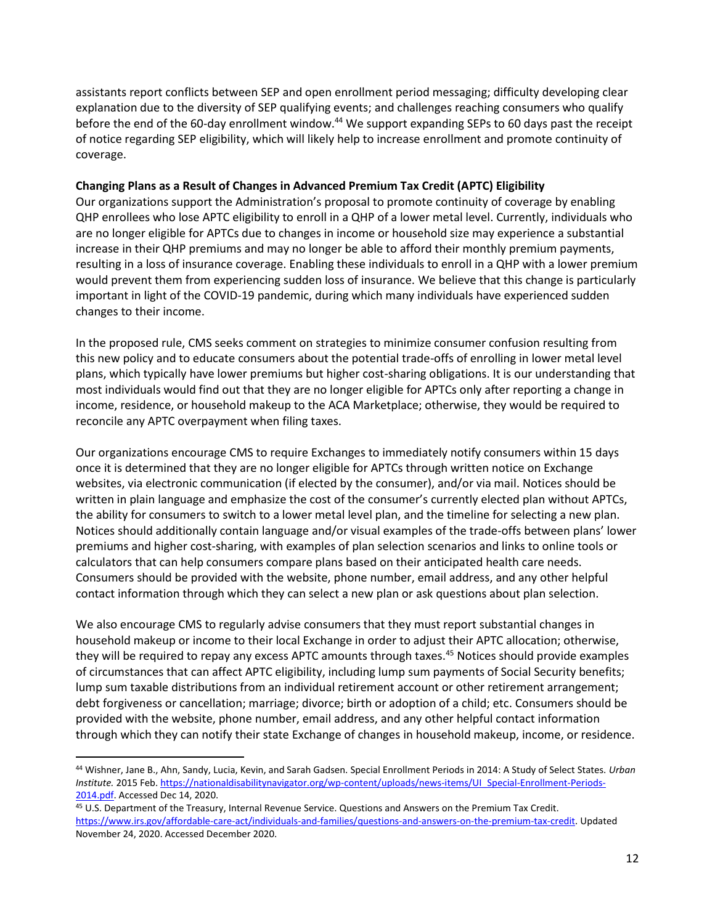assistants report conflicts between SEP and open enrollment period messaging; difficulty developing clear explanation due to the diversity of SEP qualifying events; and challenges reaching consumers who qualify before the end of the 60-day enrollment window.<sup>44</sup> We support expanding SEPs to 60 days past the receipt of notice regarding SEP eligibility, which will likely help to increase enrollment and promote continuity of coverage.

## **Changing Plans as a Result of Changes in Advanced Premium Tax Credit (APTC) Eligibility**

Our organizations support the Administration's proposal to promote continuity of coverage by enabling QHP enrollees who lose APTC eligibility to enroll in a QHP of a lower metal level. Currently, individuals who are no longer eligible for APTCs due to changes in income or household size may experience a substantial increase in their QHP premiums and may no longer be able to afford their monthly premium payments, resulting in a loss of insurance coverage. Enabling these individuals to enroll in a QHP with a lower premium would prevent them from experiencing sudden loss of insurance. We believe that this change is particularly important in light of the COVID-19 pandemic, during which many individuals have experienced sudden changes to their income.

In the proposed rule, CMS seeks comment on strategies to minimize consumer confusion resulting from this new policy and to educate consumers about the potential trade-offs of enrolling in lower metal level plans, which typically have lower premiums but higher cost-sharing obligations. It is our understanding that most individuals would find out that they are no longer eligible for APTCs only after reporting a change in income, residence, or household makeup to the ACA Marketplace; otherwise, they would be required to reconcile any APTC overpayment when filing taxes.

Our organizations encourage CMS to require Exchanges to immediately notify consumers within 15 days once it is determined that they are no longer eligible for APTCs through written notice on Exchange websites, via electronic communication (if elected by the consumer), and/or via mail. Notices should be written in plain language and emphasize the cost of the consumer's currently elected plan without APTCs, the ability for consumers to switch to a lower metal level plan, and the timeline for selecting a new plan. Notices should additionally contain language and/or visual examples of the trade-offs between plans' lower premiums and higher cost-sharing, with examples of plan selection scenarios and links to online tools or calculators that can help consumers compare plans based on their anticipated health care needs. Consumers should be provided with the website, phone number, email address, and any other helpful contact information through which they can select a new plan or ask questions about plan selection.

We also encourage CMS to regularly advise consumers that they must report substantial changes in household makeup or income to their local Exchange in order to adjust their APTC allocation; otherwise, they will be required to repay any excess APTC amounts through taxes.<sup>45</sup> Notices should provide examples of circumstances that can affect APTC eligibility, including lump sum payments of Social Security benefits; lump sum taxable distributions from an individual retirement account or other retirement arrangement; debt forgiveness or cancellation; marriage; divorce; birth or adoption of a child; etc. Consumers should be provided with the website, phone number, email address, and any other helpful contact information through which they can notify their state Exchange of changes in household makeup, income, or residence.

<sup>44</sup> Wishner, Jane B., Ahn, Sandy, Lucia, Kevin, and Sarah Gadsen. Special Enrollment Periods in 2014: A Study of Select States. *Urban Institute.* 2015 Feb[. https://nationaldisabilitynavigator.org/wp-content/uploads/news-items/UI\\_Special-Enrollment-Periods-](https://nationaldisabilitynavigator.org/wp-content/uploads/news-items/UI_Special-Enrollment-Periods-2014.pdf)[2014.pdf.](https://nationaldisabilitynavigator.org/wp-content/uploads/news-items/UI_Special-Enrollment-Periods-2014.pdf) Accessed Dec 14, 2020.

<sup>45</sup> U.S. Department of the Treasury, Internal Revenue Service. Questions and Answers on the Premium Tax Credit. [https://www.irs.gov/affordable-care-act/individuals-and-families/questions-and-answers-on-the-premium-tax-credit.](https://www.irs.gov/affordable-care-act/individuals-and-families/questions-and-answers-on-the-premium-tax-credit) Updated November 24, 2020. Accessed December 2020.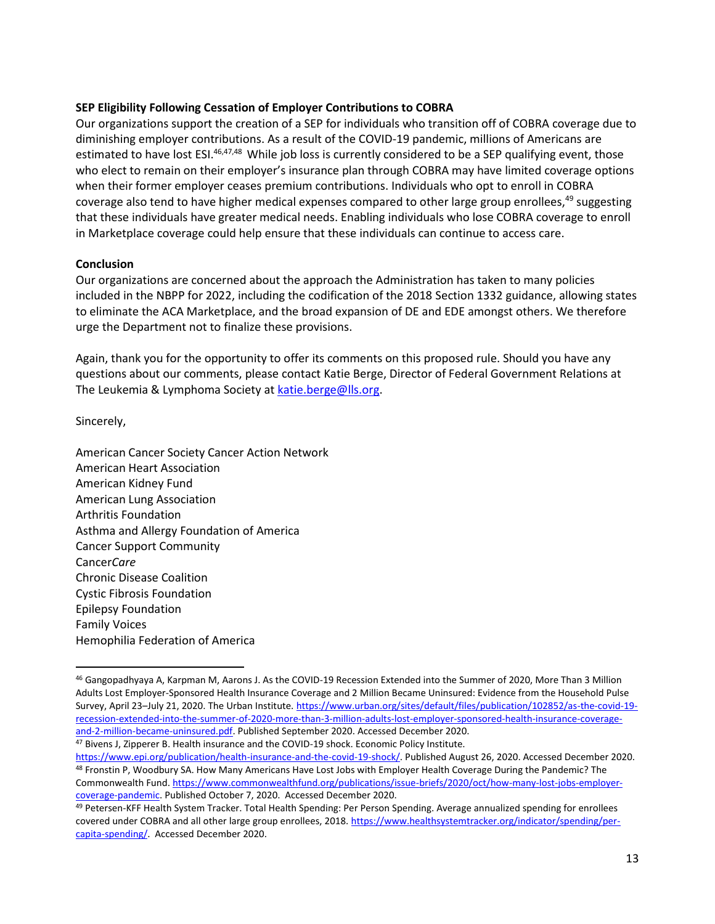### **SEP Eligibility Following Cessation of Employer Contributions to COBRA**

Our organizations support the creation of a SEP for individuals who transition off of COBRA coverage due to diminishing employer contributions. As a result of the COVID-19 pandemic, millions of Americans are estimated to have lost ESI.<sup>46,47,48</sup> While job loss is currently considered to be a SEP qualifying event, those who elect to remain on their employer's insurance plan through COBRA may have limited coverage options when their former employer ceases premium contributions. Individuals who opt to enroll in COBRA coverage also tend to have higher medical expenses compared to other large group enrollees,<sup>49</sup> suggesting that these individuals have greater medical needs. Enabling individuals who lose COBRA coverage to enroll in Marketplace coverage could help ensure that these individuals can continue to access care.

#### **Conclusion**

Our organizations are concerned about the approach the Administration has taken to many policies included in the NBPP for 2022, including the codification of the 2018 Section 1332 guidance, allowing states to eliminate the ACA Marketplace, and the broad expansion of DE and EDE amongst others. We therefore urge the Department not to finalize these provisions.

Again, thank you for the opportunity to offer its comments on this proposed rule. Should you have any questions about our comments, please contact Katie Berge, Director of Federal Government Relations at The Leukemia & Lymphoma Society a[t katie.berge@lls.org.](mailto:katie.berge@lls.org)

Sincerely,

American Cancer Society Cancer Action Network American Heart Association American Kidney Fund American Lung Association Arthritis Foundation Asthma and Allergy Foundation of America Cancer Support Community Cancer*Care* Chronic Disease Coalition Cystic Fibrosis Foundation Epilepsy Foundation Family Voices Hemophilia Federation of America

47 Bivens J, Zipperer B. Health insurance and the COVID-19 shock. Economic Policy Institute.

<sup>46</sup> Gangopadhyaya A, Karpman M, Aarons J. As the COVID-19 Recession Extended into the Summer of 2020, More Than 3 Million Adults Lost Employer-Sponsored Health Insurance Coverage and 2 Million Became Uninsured: Evidence from the Household Pulse Survey, April 23–July 21, 2020. The Urban Institute. [https://www.urban.org/sites/default/files/publication/102852/as-the-covid-19](https://www.urban.org/sites/default/files/publication/102852/as-the-covid-19-recession-extended-into-the-summer-of-2020-more-than-3-million-adults-lost-employer-sponsored-health-insurance-coverage-and-2-million-became-uninsured.pdf) [recession-extended-into-the-summer-of-2020-more-than-3-million-adults-lost-employer-sponsored-health-insurance-coverage](https://www.urban.org/sites/default/files/publication/102852/as-the-covid-19-recession-extended-into-the-summer-of-2020-more-than-3-million-adults-lost-employer-sponsored-health-insurance-coverage-and-2-million-became-uninsured.pdf)[and-2-million-became-uninsured.pdf.](https://www.urban.org/sites/default/files/publication/102852/as-the-covid-19-recession-extended-into-the-summer-of-2020-more-than-3-million-adults-lost-employer-sponsored-health-insurance-coverage-and-2-million-became-uninsured.pdf) Published September 2020. Accessed December 2020.

[https://www.epi.org/publication/health-insurance-and-the-covid-19-shock/.](https://www.epi.org/publication/health-insurance-and-the-covid-19-shock/) Published August 26, 2020. Accessed December 2020. 48 Fronstin P, Woodbury SA. How Many Americans Have Lost Jobs with Employer Health Coverage During the Pandemic? The Commonwealth Fund. [https://www.commonwealthfund.org/publications/issue-briefs/2020/oct/how-many-lost-jobs-employer](https://www.commonwealthfund.org/publications/issue-briefs/2020/oct/how-many-lost-jobs-employer-coverage-pandemic)[coverage-pandemic.](https://www.commonwealthfund.org/publications/issue-briefs/2020/oct/how-many-lost-jobs-employer-coverage-pandemic) Published October 7, 2020. Accessed December 2020.

<sup>49</sup> Petersen-KFF Health System Tracker. Total Health Spending: Per Person Spending. Average annualized spending for enrollees covered under COBRA and all other large group enrollees, 2018[. https://www.healthsystemtracker.org/indicator/spending/per](https://www.healthsystemtracker.org/indicator/spending/per-capita-spending/)[capita-spending/.](https://www.healthsystemtracker.org/indicator/spending/per-capita-spending/) Accessed December 2020.